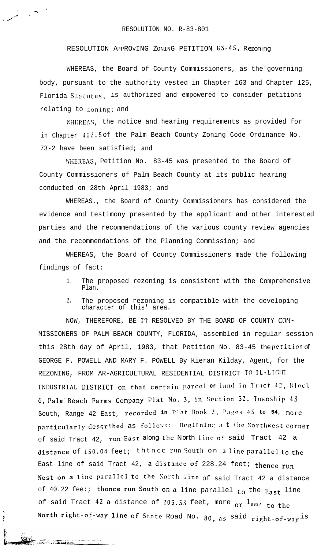**.**

**. ? \*,. .**

**, /'**

, "

L. ANDRE SPANISHER

RESOLUTION APPROVING ZONING PETITION 83-45, Rezoning

WHEREAS, the Board of County Commissioners, as the'governing body, pursuant to the authority vested in Chapter 163 and Chapter 125, Florida Statutes, is authorized and empowered to consider petitions relating to zoning; and

WHEREAS, the notice and hearing requirements as provided for in Chapter **402.5** of the Palm Beach County Zoning Code Ordinance No. 73-2 have been satisfied; and

WHEREAS, Petition No. 83-45 was presented to the Board of County Commissioners of Palm Beach County at its public hearing conducted on 28th April 1983; and

WHEREAS., the Board of County Commissioners has considered the evidence and testimony presented by the applicant and other interested parties and the recommendations of the various county review agencies and the recommendations of the Planning Commission; and

WHEREAS, the Board of County Commissioners made the following findings of fact:

- 1. The proposed rezoning is consistent with the Comprehensive Plan.
- 2. The proposed rezoning is compatible with the developing character of this' area.

NOW, THEREFORE, BE II' RESOLVED BY THE BOARD OF COUNTY COM- MISSIONERS OF PALM BEACH COUNTY, FLORIDA, assembled in regular session this 28th day of April, 1983, that Petition No. 83-45 the petition of GEORGE F. POWELL AND MARY F. POWELL By Kieran Kilday, Agent, for the REZONING, FROM AR-AGRICULTURAL RESIDENTIAL DISTRICT TO IL-LIGHT INDUSTRIAL DISTRICT on that certain parcel of land in Tract 42, Block 6, **Palm'Beach Farms Company Plat No. 3, in SeCtiOn 32, l'Uiin!;hi]> .I3** South, Range 42 East, recorded in Plat Book 2, Pages 45 to 54, more particularly described as follows: Beginning a t the Northwest corner of said Tract 42, run East along the North line of said Tract 42 a distance of 150.04 feet; thtncc run South on a line parallel to the East line of said Tract 42, a distance of 228.24 feet; thence run West on a line parallel to the North line of said Tract 42 a distance of 40.22 fee:; thence run South on a line parallel to the East line of said Tract  $42$  a distance of 205.33 feet, more or  $l_{\text{ess}}$ , to the North right-of-way line of State Road No. 80, as said right-of-way is